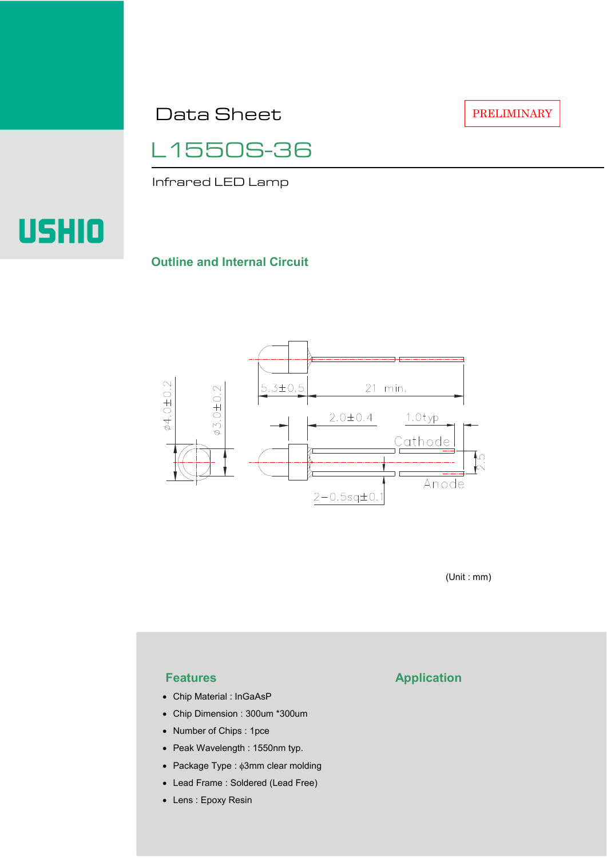Data Sheet

PRELIMINARY

L1550S-36

Infrared LED Lamp

# **USHIO**

#### **Outline and Internal Circuit**



(Unit : mm)

- Chip Material : InGaAsP
- Chip Dimension : 300um \*300um
- Number of Chips : 1pce
- Peak Wavelength : 1550nm typ.
- Package Type : φ3mm clear molding
- Lead Frame : Soldered (Lead Free)
- Lens : Epoxy Resin

## **Features Application**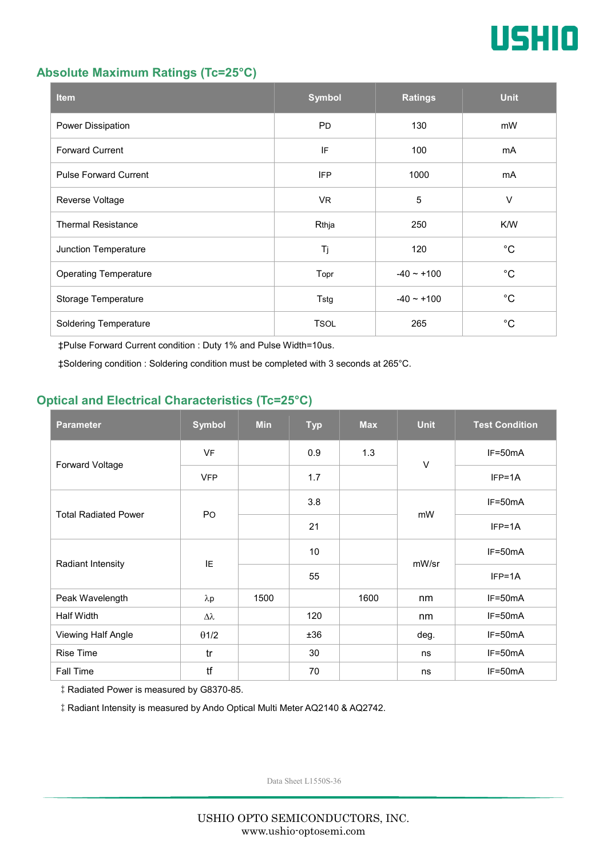

#### **Absolute Maximum Ratings (Tc=25°C)**

| <b>Item</b>                  | <b>Symbol</b> | <b>Ratings</b>  | <b>Unit</b> |
|------------------------------|---------------|-----------------|-------------|
| Power Dissipation            | <b>PD</b>     | 130             | mW          |
| <b>Forward Current</b>       | IF            | 100             | mA          |
| <b>Pulse Forward Current</b> | <b>IFP</b>    | 1000            | mA          |
| Reverse Voltage              | VR.           | $\overline{5}$  | $\vee$      |
| <b>Thermal Resistance</b>    | Rthja         | 250             | K/W         |
| Junction Temperature         | Tj            | 120             | $^{\circ}C$ |
| <b>Operating Temperature</b> | Topr          | $-40 \sim +100$ | $^{\circ}C$ |
| Storage Temperature          | Tstg          | $-40 - +100$    | $^{\circ}C$ |
| <b>Soldering Temperature</b> | <b>TSOL</b>   | 265             | $^{\circ}C$ |

‡Pulse Forward Current condition : Duty 1% and Pulse Width=10us.

‡Soldering condition : Soldering condition must be completed with 3 seconds at 265°C.

### **Optical and Electrical Characteristics (Tc=25°C)**

| <b>Parameter</b>            | <b>Symbol</b>    | <b>Min</b> | <b>Typ</b> | <b>Max</b> | <b>Unit</b> | <b>Test Condition</b> |
|-----------------------------|------------------|------------|------------|------------|-------------|-----------------------|
| Forward Voltage             | <b>VF</b>        |            | 0.9        | 1.3        | $\vee$      | IF=50mA               |
|                             | <b>VFP</b>       |            | 1.7        |            |             | $IFP=1A$              |
| <b>Total Radiated Power</b> | P <sub>O</sub>   |            | 3.8        |            | mW          | $IF=50mA$             |
|                             |                  |            | 21         |            |             | $IFP=1A$              |
| Radiant Intensity           | IE               |            | 10         |            | mW/sr       | $IF=50mA$             |
|                             |                  |            | 55         |            |             | $IFP=1A$              |
| Peak Wavelength             | $\lambda$ p      | 1500       |            | 1600       | nm          | $IF=50mA$             |
| <b>Half Width</b>           | $\Delta \lambda$ |            | 120        |            | nm          | $IF=50mA$             |
| Viewing Half Angle          | $\theta$ 1/2     |            | ±36        |            | deg.        | $IF=50mA$             |
| <b>Rise Time</b>            | tr               |            | 30         |            | ns          | $IF=50mA$             |
| Fall Time                   | tf               |            | 70         |            | ns          | $IF=50mA$             |

‡Radiated Power is measured by G8370-85.

‡Radiant Intensity is measured by Ando Optical Multi Meter AQ2140 & AQ2742.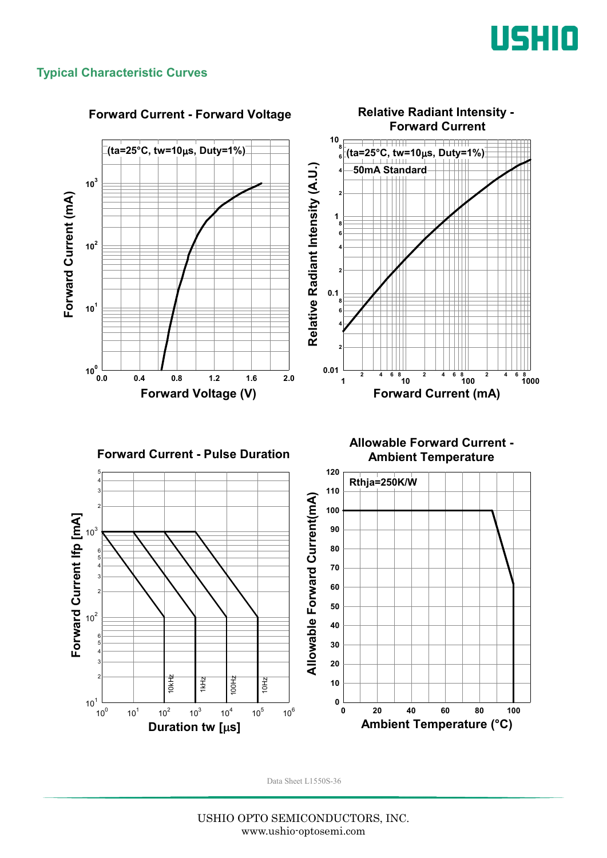

#### **Typical Characteristic Curves**

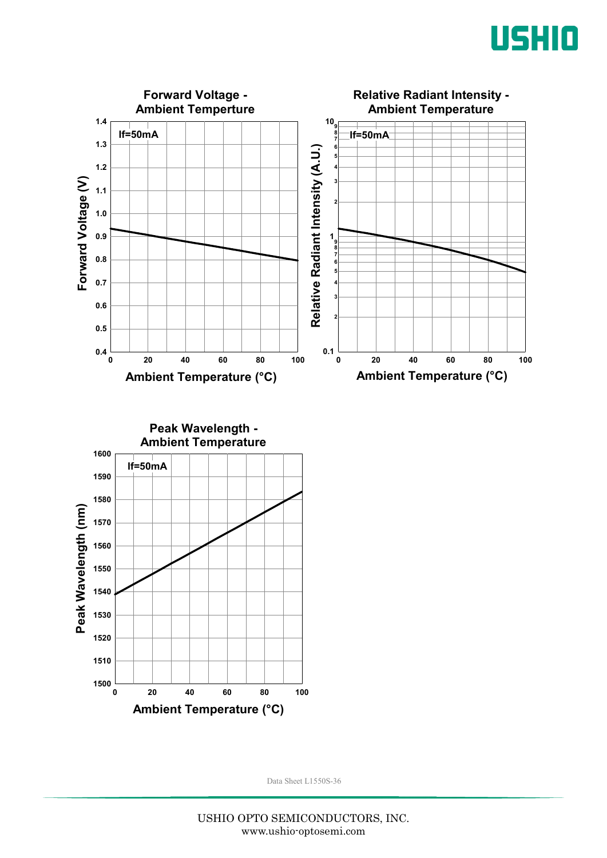



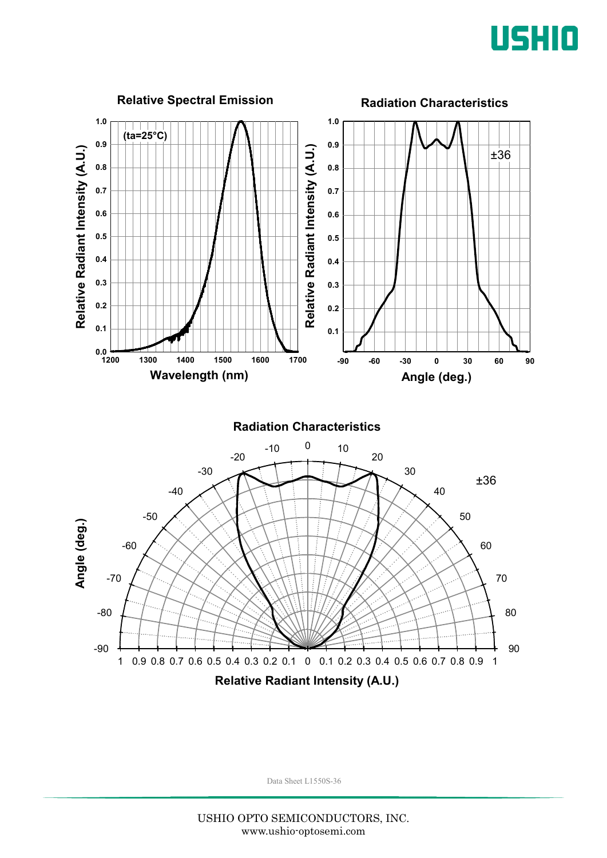